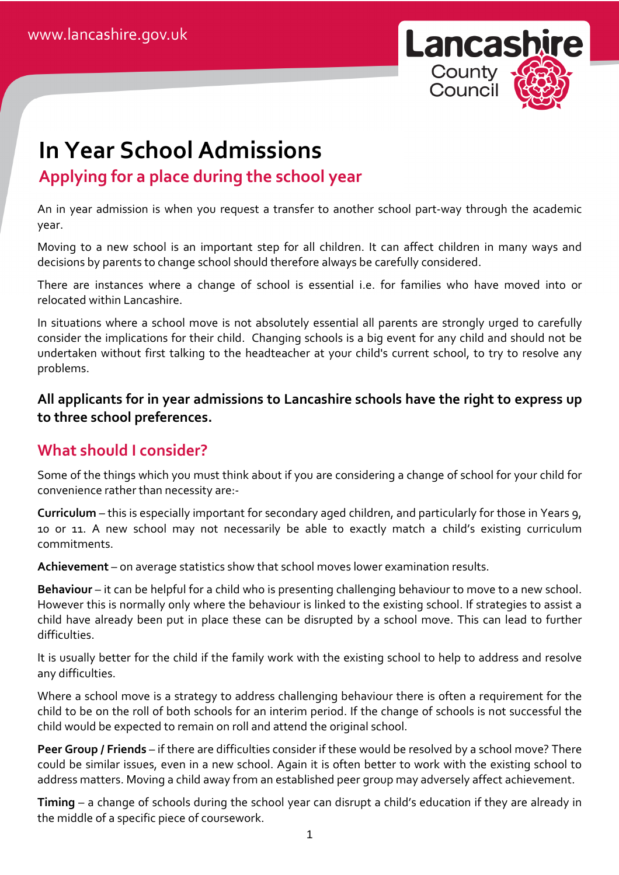

# **In Year School Admissions**

## **Applying for a place during the school year**

An in year admission is when you request a transfer to another school part-way through the academic year.

Moving to a new school is an important step for all children. It can affect children in many ways and decisions by parents to change school should therefore always be carefully considered.

There are instances where a change of school is essential i.e. for families who have moved into or relocated within Lancashire.

In situations where a school move is not absolutely essential all parents are strongly urged to carefully consider the implications for their child. Changing schools is a big event for any child and should not be undertaken without first talking to the headteacher at your child's current school, to try to resolve any problems.

**All applicants for in year admissions to Lancashire schools have the right to express up to three school preferences.** 

### **What should I consider?**

Some of the things which you must think about if you are considering a change of school for your child for convenience rather than necessity are:-

**Curriculum** – this is especially important for secondary aged children, and particularly for those in Years 9, 10 or 11. A new school may not necessarily be able to exactly match a child's existing curriculum commitments.

**Achievement** – on average statistics show that school moves lower examination results.

**Behaviour** – it can be helpful for a child who is presenting challenging behaviour to move to a new school. However this is normally only where the behaviour is linked to the existing school. If strategies to assist a child have already been put in place these can be disrupted by a school move. This can lead to further difficulties.

It is usually better for the child if the family work with the existing school to help to address and resolve any difficulties.

Where a school move is a strategy to address challenging behaviour there is often a requirement for the child to be on the roll of both schools for an interim period. If the change of schools is not successful the child would be expected to remain on roll and attend the original school.

**Peer Group / Friends** – if there are difficulties consider if these would be resolved by a school move? There could be similar issues, even in a new school. Again it is often better to work with the existing school to address matters. Moving a child away from an established peer group may adversely affect achievement.

**Timing** – a change of schools during the school year can disrupt a child's education if they are already in the middle of a specific piece of coursework.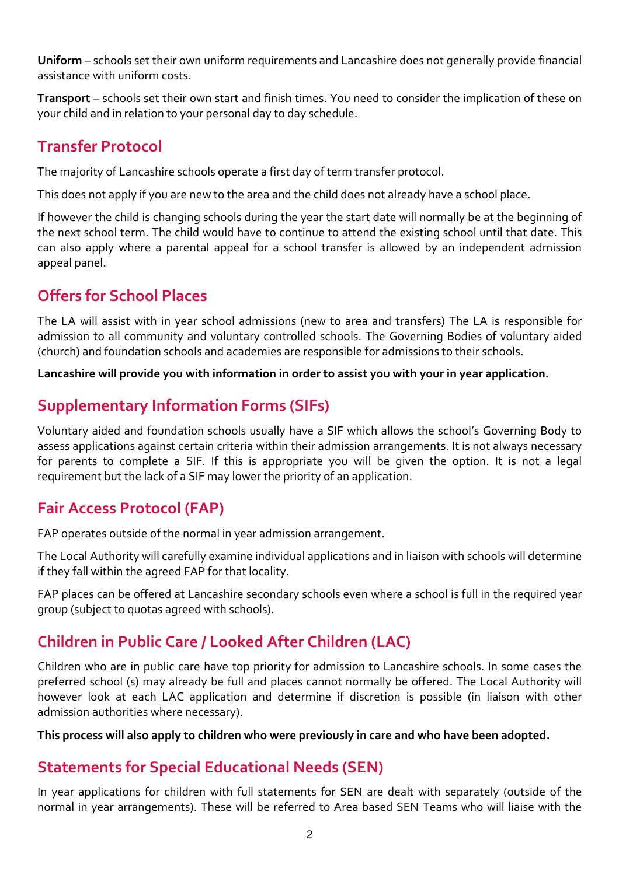**Uniform** – schools set their own uniform requirements and Lancashire does not generally provide financial assistance with uniform costs.

**Transport** – schools set their own start and finish times. You need to consider the implication of these on your child and in relation to your personal day to day schedule.

## **Transfer Protocol**

The majority of Lancashire schools operate a first day of term transfer protocol.

This does not apply if you are new to the area and the child does not already have a school place.

If however the child is changing schools during the year the start date will normally be at the beginning of the next school term. The child would have to continue to attend the existing school until that date. This can also apply where a parental appeal for a school transfer is allowed by an independent admission appeal panel.

## **Offers for School Places**

The LA will assist with in year school admissions (new to area and transfers) The LA is responsible for admission to all community and voluntary controlled schools. The Governing Bodies of voluntary aided (church) and foundation schools and academies are responsible for admissions to their schools.

**Lancashire will provide you with information in order to assist you with your in year application.** 

### **Supplementary Information Forms (SIFs)**

Voluntary aided and foundation schools usually have a SIF which allows the school's Governing Body to assess applications against certain criteria within their admission arrangements. It is not always necessary for parents to complete a SIF. If this is appropriate you will be given the option. It is not a legal requirement but the lack of a SIF may lower the priority of an application.

### **Fair Access Protocol (FAP)**

FAP operates outside of the normal in year admission arrangement.

The Local Authority will carefully examine individual applications and in liaison with schools will determine if they fall within the agreed FAP for that locality.

FAP places can be offered at Lancashire secondary schools even where a school is full in the required year group (subject to quotas agreed with schools).

## **Children in Public Care / Looked After Children (LAC)**

Children who are in public care have top priority for admission to Lancashire schools. In some cases the preferred school (s) may already be full and places cannot normally be offered. The Local Authority will however look at each LAC application and determine if discretion is possible (in liaison with other admission authorities where necessary).

**This process will also apply to children who were previously in care and who have been adopted.** 

### **Statements for Special Educational Needs (SEN)**

In year applications for children with full statements for SEN are dealt with separately (outside of the normal in year arrangements). These will be referred to Area based SEN Teams who will liaise with the